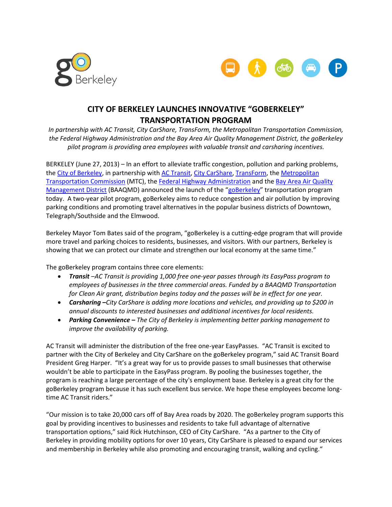



## **CITY OF BERKELEY LAUNCHES INNOVATIVE "GOBERKELEY" TRANSPORTATION PROGRAM**

*In partnership with AC Transit, City CarShare, TransForm, the Metropolitan Transportation Commission, the Federal Highway Administration and the Bay Area Air Quality Management District, the goBerkeley pilot program is providing area employees with valuable transit and carsharing incentives.*

BERKELEY (June 27, 2013) – In an effort to alleviate traffic congestion, pollution and parking problems, th[e City of Berkeley,](http://www.cityofberkeley.gov/) in partnership with [AC Transit,](http://www.actransit.org/) [City CarShare,](http://www.citycarshare.org/) [TransForm,](http://www.transformca.org/) the [Metropolitan](http://www.mtc.ca.gov/)  [Transportation Commission](http://www.mtc.ca.gov/) (MTC), the [Federal Highway Administration](http://www.ops.fhwa.dot.gov/tolling_pricing/value_pricing/) and the [Bay Area Air Quality](http://www.baaqmd.gov/)  [Management](http://www.baaqmd.gov/) District (BAAQMD) announced the launch of the "[goBerkeley](http://www.goberkeley.info/index.php)" transportation program today. A two-year pilot program, goBerkeley aims to reduce congestion and air pollution by improving parking conditions and promoting travel alternatives in the popular business districts of Downtown, Telegraph/Southside and the Elmwood.

Berkeley Mayor Tom Bates said of the program, "goBerkeley is a cutting-edge program that will provide more travel and parking choices to residents, businesses, and visitors. With our partners, Berkeley is showing that we can protect our climate and strengthen our local economy at the same time."

The goBerkeley program contains three core elements:

- *Transit –AC Transit is providing 1,000 free one-year passes through its EasyPass program to employees of businesses in the three commercial areas. Funded by a BAAQMD Transportation for Clean Air grant, distribution begins today and the passes will be in effect for one year.*
- *Carsharing –City CarShare is adding more locations and vehicles, and providing up to \$200 in annual discounts to interested businesses and additional incentives for local residents.*
- *Parking Convenience – The City of Berkeley is implementing better parking management to improve the availability of parking.*

AC Transit will administer the distribution of the free one-year EasyPasses. "AC Transit is excited to partner with the City of Berkeley and City CarShare on the goBerkeley program," said AC Transit Board President Greg Harper. "It's a great way for us to provide passes to small businesses that otherwise wouldn't be able to participate in the EasyPass program. By pooling the businesses together, the program is reaching a large percentage of the city's employment base. Berkeley is a great city for the goBerkeley program because it has such excellent bus service. We hope these employees become longtime AC Transit riders."

"Our mission is to take 20,000 cars off of Bay Area roads by 2020. The goBerkeley program supports this goal by providing incentives to businesses and residents to take full advantage of alternative transportation options," said Rick Hutchinson, CEO of City CarShare. "As a partner to the City of Berkeley in providing mobility options for over 10 years, City CarShare is pleased to expand our services and membership in Berkeley while also promoting and encouraging transit, walking and cycling."